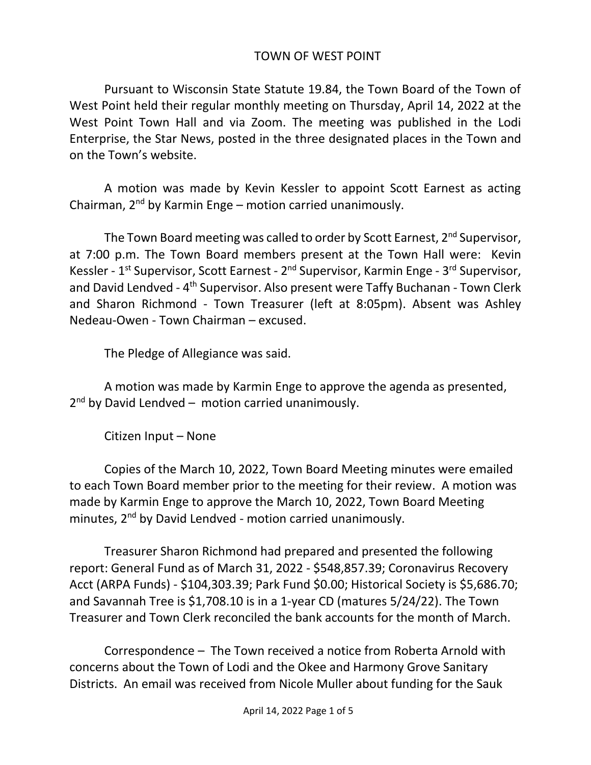## TOWN OF WEST POINT

Pursuant to Wisconsin State Statute 19.84, the Town Board of the Town of West Point held their regular monthly meeting on Thursday, April 14, 2022 at the West Point Town Hall and via Zoom. The meeting was published in the Lodi Enterprise, the Star News, posted in the three designated places in the Town and on the Town's website.

A motion was made by Kevin Kessler to appoint Scott Earnest as acting Chairman,  $2^{nd}$  by Karmin Enge – motion carried unanimously.

The Town Board meeting was called to order by Scott Earnest, 2<sup>nd</sup> Supervisor, at 7:00 p.m. The Town Board members present at the Town Hall were: Kevin Kessler - 1<sup>st</sup> Supervisor, Scott Earnest - 2<sup>nd</sup> Supervisor, Karmin Enge - 3<sup>rd</sup> Supervisor, and David Lendved - 4<sup>th</sup> Supervisor. Also present were Taffy Buchanan - Town Clerk and Sharon Richmond - Town Treasurer (left at 8:05pm). Absent was Ashley Nedeau-Owen - Town Chairman – excused.

The Pledge of Allegiance was said.

A motion was made by Karmin Enge to approve the agenda as presented, 2<sup>nd</sup> by David Lendved - motion carried unanimously.

Citizen Input – None

Copies of the March 10, 2022, Town Board Meeting minutes were emailed to each Town Board member prior to the meeting for their review. A motion was made by Karmin Enge to approve the March 10, 2022, Town Board Meeting minutes, 2<sup>nd</sup> by David Lendved - motion carried unanimously.

Treasurer Sharon Richmond had prepared and presented the following report: General Fund as of March 31, 2022 - \$548,857.39; Coronavirus Recovery Acct (ARPA Funds) - \$104,303.39; Park Fund \$0.00; Historical Society is \$5,686.70; and Savannah Tree is \$1,708.10 is in a 1-year CD (matures 5/24/22). The Town Treasurer and Town Clerk reconciled the bank accounts for the month of March.

Correspondence – The Town received a notice from Roberta Arnold with concerns about the Town of Lodi and the Okee and Harmony Grove Sanitary Districts. An email was received from Nicole Muller about funding for the Sauk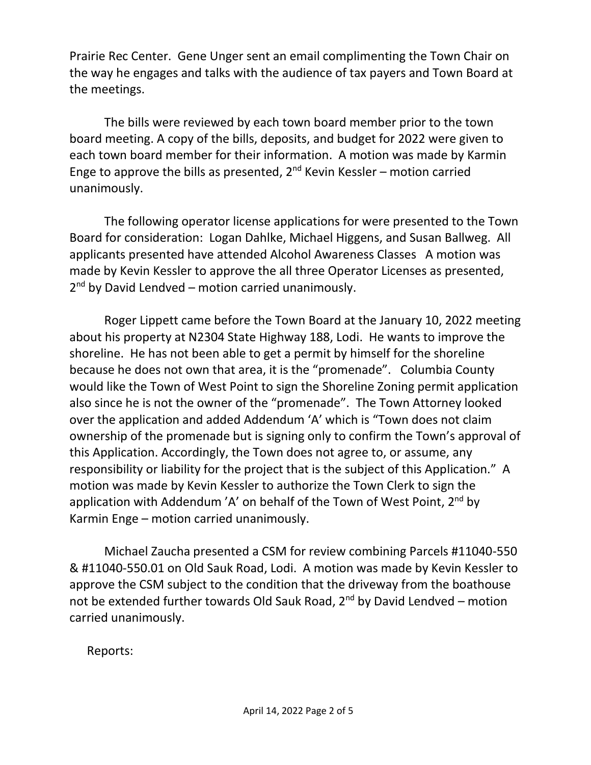Prairie Rec Center. Gene Unger sent an email complimenting the Town Chair on the way he engages and talks with the audience of tax payers and Town Board at the meetings.

The bills were reviewed by each town board member prior to the town board meeting. A copy of the bills, deposits, and budget for 2022 were given to each town board member for their information. A motion was made by Karmin Enge to approve the bills as presented,  $2^{nd}$  Kevin Kessler – motion carried unanimously.

The following operator license applications for were presented to the Town Board for consideration: Logan Dahlke, Michael Higgens, and Susan Ballweg. All applicants presented have attended Alcohol Awareness Classes A motion was made by Kevin Kessler to approve the all three Operator Licenses as presented, 2<sup>nd</sup> by David Lendved – motion carried unanimously.

Roger Lippett came before the Town Board at the January 10, 2022 meeting about his property at N2304 State Highway 188, Lodi. He wants to improve the shoreline. He has not been able to get a permit by himself for the shoreline because he does not own that area, it is the "promenade". Columbia County would like the Town of West Point to sign the Shoreline Zoning permit application also since he is not the owner of the "promenade". The Town Attorney looked over the application and added Addendum 'A' which is "Town does not claim ownership of the promenade but is signing only to confirm the Town's approval of this Application. Accordingly, the Town does not agree to, or assume, any responsibility or liability for the project that is the subject of this Application." A motion was made by Kevin Kessler to authorize the Town Clerk to sign the application with Addendum 'A' on behalf of the Town of West Point,  $2^{nd}$  by Karmin Enge – motion carried unanimously.

Michael Zaucha presented a CSM for review combining Parcels #11040-550 & #11040-550.01 on Old Sauk Road, Lodi. A motion was made by Kevin Kessler to approve the CSM subject to the condition that the driveway from the boathouse not be extended further towards Old Sauk Road,  $2^{nd}$  by David Lendved – motion carried unanimously.

Reports: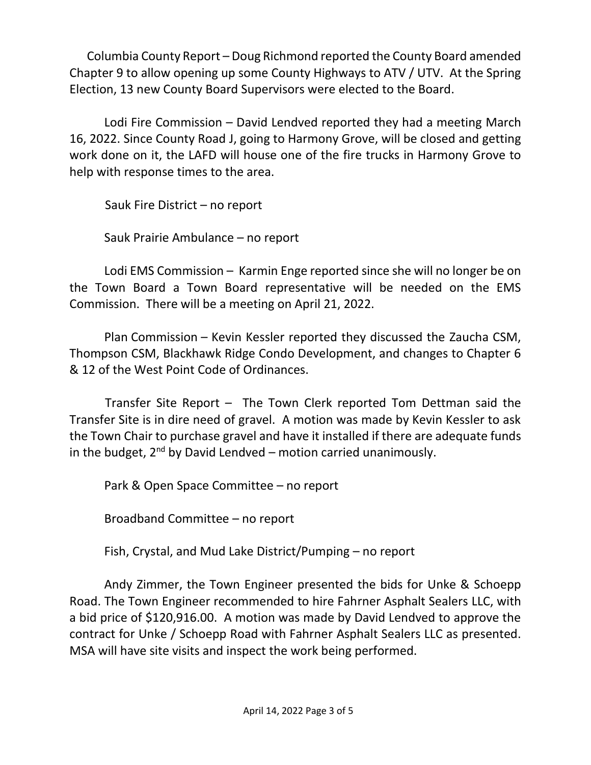Columbia County Report – Doug Richmond reported the County Board amended Chapter 9 to allow opening up some County Highways to ATV / UTV. At the Spring Election, 13 new County Board Supervisors were elected to the Board.

Lodi Fire Commission – David Lendved reported they had a meeting March 16, 2022. Since County Road J, going to Harmony Grove, will be closed and getting work done on it, the LAFD will house one of the fire trucks in Harmony Grove to help with response times to the area.

Sauk Fire District – no report

Sauk Prairie Ambulance – no report

Lodi EMS Commission – Karmin Enge reported since she will no longer be on the Town Board a Town Board representative will be needed on the EMS Commission. There will be a meeting on April 21, 2022.

Plan Commission – Kevin Kessler reported they discussed the Zaucha CSM, Thompson CSM, Blackhawk Ridge Condo Development, and changes to Chapter 6 & 12 of the West Point Code of Ordinances.

 Transfer Site Report – The Town Clerk reported Tom Dettman said the Transfer Site is in dire need of gravel. A motion was made by Kevin Kessler to ask the Town Chair to purchase gravel and have it installed if there are adequate funds in the budget,  $2^{nd}$  by David Lendved – motion carried unanimously.

Park & Open Space Committee – no report

Broadband Committee – no report

Fish, Crystal, and Mud Lake District/Pumping – no report

Andy Zimmer, the Town Engineer presented the bids for Unke & Schoepp Road. The Town Engineer recommended to hire Fahrner Asphalt Sealers LLC, with a bid price of \$120,916.00. A motion was made by David Lendved to approve the contract for Unke / Schoepp Road with Fahrner Asphalt Sealers LLC as presented. MSA will have site visits and inspect the work being performed.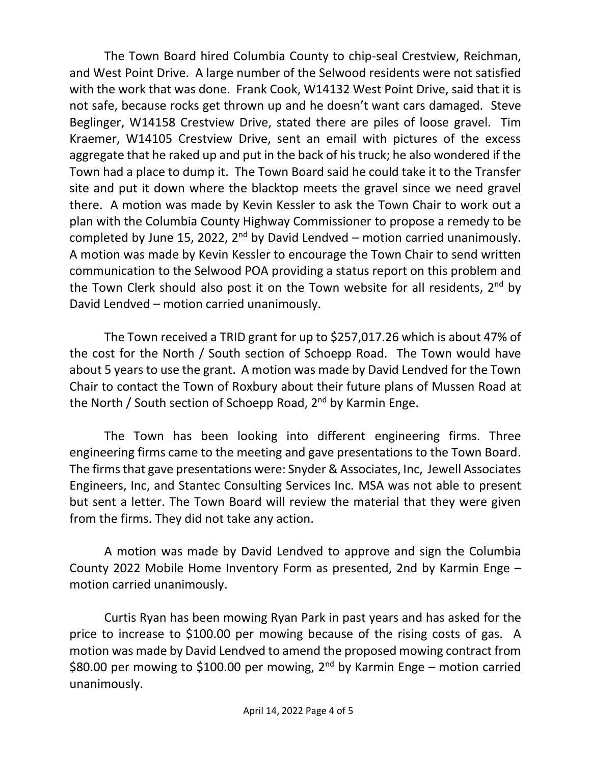The Town Board hired Columbia County to chip-seal Crestview, Reichman, and West Point Drive. A large number of the Selwood residents were not satisfied with the work that was done. Frank Cook, W14132 West Point Drive, said that it is not safe, because rocks get thrown up and he doesn't want cars damaged. Steve Beglinger, W14158 Crestview Drive, stated there are piles of loose gravel. Tim Kraemer, W14105 Crestview Drive, sent an email with pictures of the excess aggregate that he raked up and put in the back of his truck; he also wondered if the Town had a place to dump it. The Town Board said he could take it to the Transfer site and put it down where the blacktop meets the gravel since we need gravel there. A motion was made by Kevin Kessler to ask the Town Chair to work out a plan with the Columbia County Highway Commissioner to propose a remedy to be completed by June 15, 2022,  $2^{nd}$  by David Lendved – motion carried unanimously. A motion was made by Kevin Kessler to encourage the Town Chair to send written communication to the Selwood POA providing a status report on this problem and the Town Clerk should also post it on the Town website for all residents, 2<sup>nd</sup> by David Lendved – motion carried unanimously.

The Town received a TRID grant for up to \$257,017.26 which is about 47% of the cost for the North / South section of Schoepp Road. The Town would have about 5 years to use the grant. A motion was made by David Lendved for the Town Chair to contact the Town of Roxbury about their future plans of Mussen Road at the North / South section of Schoepp Road, 2<sup>nd</sup> by Karmin Enge.

The Town has been looking into different engineering firms. Three engineering firms came to the meeting and gave presentations to the Town Board. The firms that gave presentations were: Snyder & Associates, Inc, Jewell Associates Engineers, Inc, and Stantec Consulting Services Inc. MSA was not able to present but sent a letter. The Town Board will review the material that they were given from the firms. They did not take any action.

A motion was made by David Lendved to approve and sign the Columbia County 2022 Mobile Home Inventory Form as presented, 2nd by Karmin Enge – motion carried unanimously.

Curtis Ryan has been mowing Ryan Park in past years and has asked for the price to increase to \$100.00 per mowing because of the rising costs of gas. A motion was made by David Lendved to amend the proposed mowing contract from \$80.00 per mowing to \$100.00 per mowing,  $2^{nd}$  by Karmin Enge – motion carried unanimously.